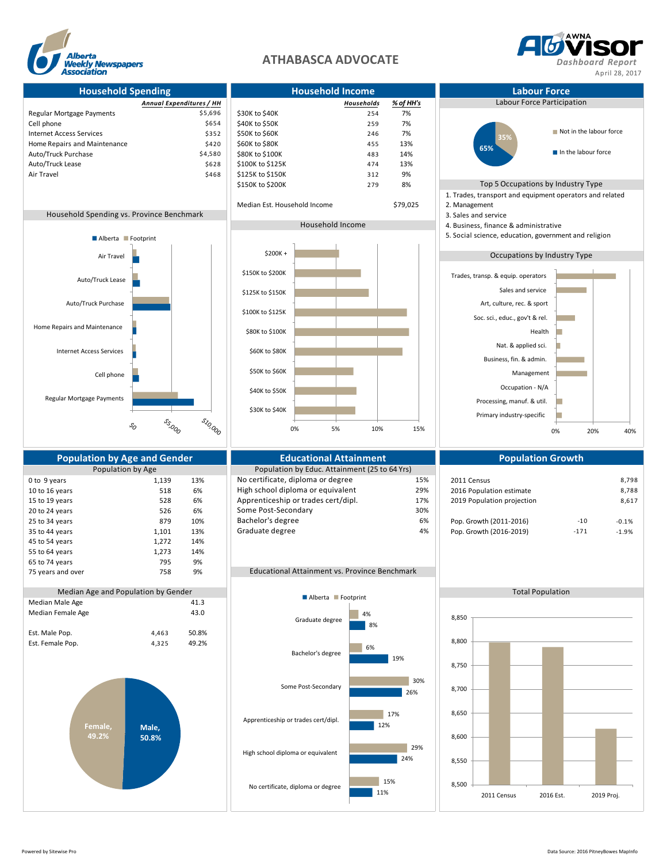

## **ATHABASCA ADVOCATE** *Dashboard Report*